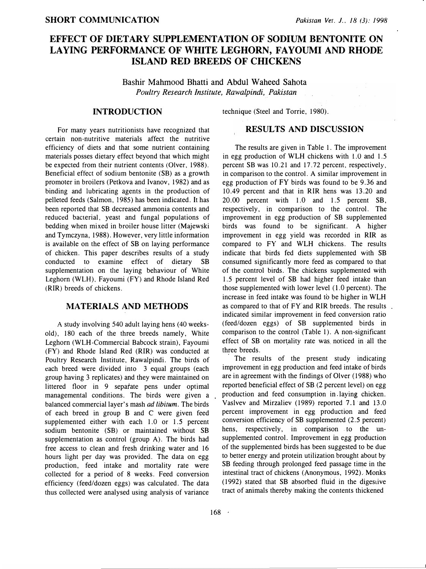# EFFECT OF DIETARY SUPPLEMENTATION OF SODIUM BENTONITE ON LAYING PERFORMANCE OF WHITE LEGHORN, FAYOUMI AND RHODE ISLAND RED BREEDS OF CHICKENS

Bashir Mahmood Bhatti and Abdul Waheed Sahota Poultry Research Institute, Rawalpindi, Pakistan

#### INTRODUCTION

technique (Steel and Torrie, 1980).

For many years nutritionists have recognized that certain non-nutritive materials affect the nutritive efficiency of diets and that some nutrient containing materials posses dietary effect beyond that which might be expected from their nutrient contents (Olver, 1988). Beneficial effect of sodium bentonite (SB) as a growth promoter in broilers (Petkova and Ivanov, 1982) and as binding and lubricating agents in the production of pelleted feeds (Salmon, 1985) has been indicated. It has been reported that SB decreased ammonia contents and reduced bacterial, yeast and fungal populations of bedding when mixed in broiler house litter (Majewski and Tymczyna, 1988). However, very little information is available on the effect of SB on laying performance of chicken. This paper describes results of a study conducted to examine effect of dietary SB supplementation on the laying behaviour of White Leghorn (WLH), Fayoumi (FY) and Rhode Island Red (RIR) breeds of chickens.

### MATERIALS AND METHODS

<sup>A</sup>study involving 540 adult laying hens (40 weeksold), 180 each of the three breeds namely, White Leghorn (WLH-Commercial Babcock strain), Fayoumi (FY) and Rhode Island Red (RIR) was conducted at Poultry Research Institute, Rawalpindi. The birds of each breed were divided into 3 equal groups (each group having 3 replicates) and they were maintained on littered floor in 9 separate pens under optimal managemental conditions. The birds were given a balanced commercial layer's mash ad libitum. The birds of each breed in group B and C were given feed supplemented either with each 1.0 or 1.5 percent sodium bentonite (SB) or maintained without SB supplementation as control (group A). The birds had free access to clean and fresh drinking water and 16 hours light per day was provided. The data on egg production, feed intake and mortality rate were collected for a period of 8 weeks. Feed conversion efficiency (feed/dozen eggs) was calculated. The data thus collected were analysed using analysis of variance

## RESULTS AND DISCUSSION

The results are given in Table 1. The improvement in egg production of WLH chickens with  $1.0$  and  $1.5$ percent SB was 10.21 and 17.72 percent, respectively, in comparison to the control. A similar improvement in egg production of FY birds was found to be 9.36 and 10.49 percent and that in RIR hens was 13.20 and 20.00 percent with 1.0 and 1.5 percent SB, respectively, in comparison to the control. The improvement in egg production of SB supplemented birds was found to be significant. A higher improvement in egg yield was recorded in RIR as compared to FY and WLH chickens. The results indicate that birds fed diets· supplemented with SB consumed significantly more feed as compared to that of the control birds. The chickens supplemented with 1.5 percent level of SB had higher feed intake than those supplemented with lower level (1.0 percent). The increase in feed intakewas found to be higher in WLH as compared to that of FY and RIR breeds. The results indicated similar improvement in feed conversion ratio (feed/dozen eggs) of SB supplemented birds in comparison to the control (Table 1). A non-significant effect of SB on mortality rate was noticed in all the three breeds.

The results of the present study indicating improvement in egg production and feed intake of birds are in agreement with the findings of Olver (1988) who reported beneficial effect of SB.(2 percent level) on egg production and feed consumption in laying chicken. Vaslvev and Mirzaliev (1989) reported 7.1 and 13.0 percent improvement in egg production and feed conversion efficiency of SB supplemented (2.5 percent) hens, respectively, in comparison to the unsupplemented control. Improvement in egg production of the supplemented birds has been suggested to be due to better energy and protein utilization brought about by SB feeding through prolonged feed passage time in the intestinal tract of chickens (Anonymous, 1992). Monks (1992) stated that SB absorbed fluid in the digestive tract of animals thereby making the contents thickened